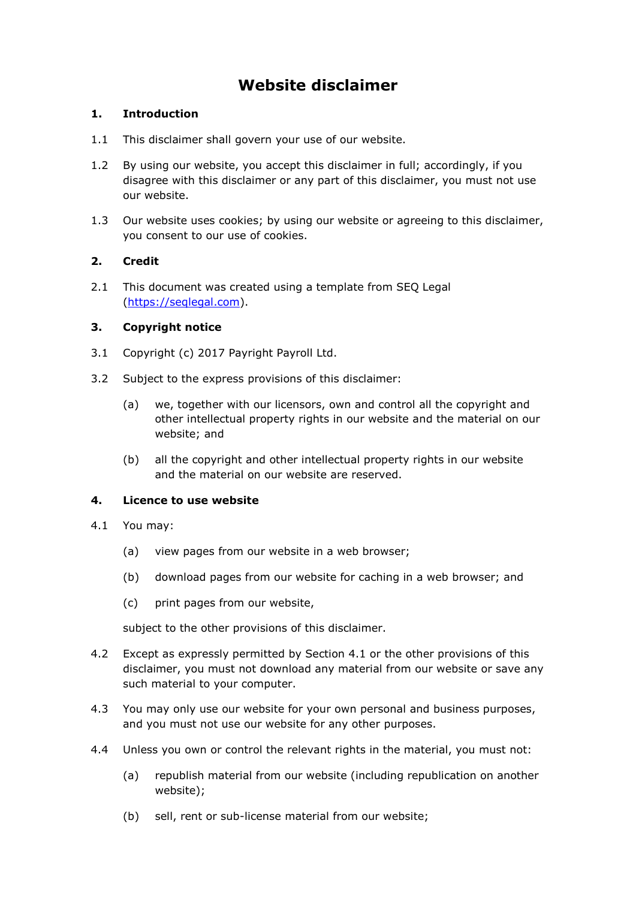# **Website disclaimer**

# **1. Introduction**

- 1.1 This disclaimer shall govern your use of our website.
- 1.2 By using our website, you accept this disclaimer in full; accordingly, if you disagree with this disclaimer or any part of this disclaimer, you must not use our website.
- 1.3 Our website uses cookies; by using our website or agreeing to this disclaimer, you consent to our use of cookies.

# **2. Credit**

2.1 This document was created using a template from SEQ Legal [\(https://seqlegal.com\)](https://seqlegal.com/).

# **3. Copyright notice**

- 3.1 Copyright (c) 2017 Payright Payroll Ltd.
- 3.2 Subject to the express provisions of this disclaimer:
	- (a) we, together with our licensors, own and control all the copyright and other intellectual property rights in our website and the material on our website; and
	- (b) all the copyright and other intellectual property rights in our website and the material on our website are reserved.

# **4. Licence to use website**

- 4.1 You may:
	- (a) view pages from our website in a web browser;
	- (b) download pages from our website for caching in a web browser; and
	- (c) print pages from our website,

subject to the other provisions of this disclaimer.

- 4.2 Except as expressly permitted by Section 4.1 or the other provisions of this disclaimer, you must not download any material from our website or save any such material to your computer.
- 4.3 You may only use our website for your own personal and business purposes, and you must not use our website for any other purposes.
- 4.4 Unless you own or control the relevant rights in the material, you must not:
	- (a) republish material from our website (including republication on another website);
	- (b) sell, rent or sub-license material from our website;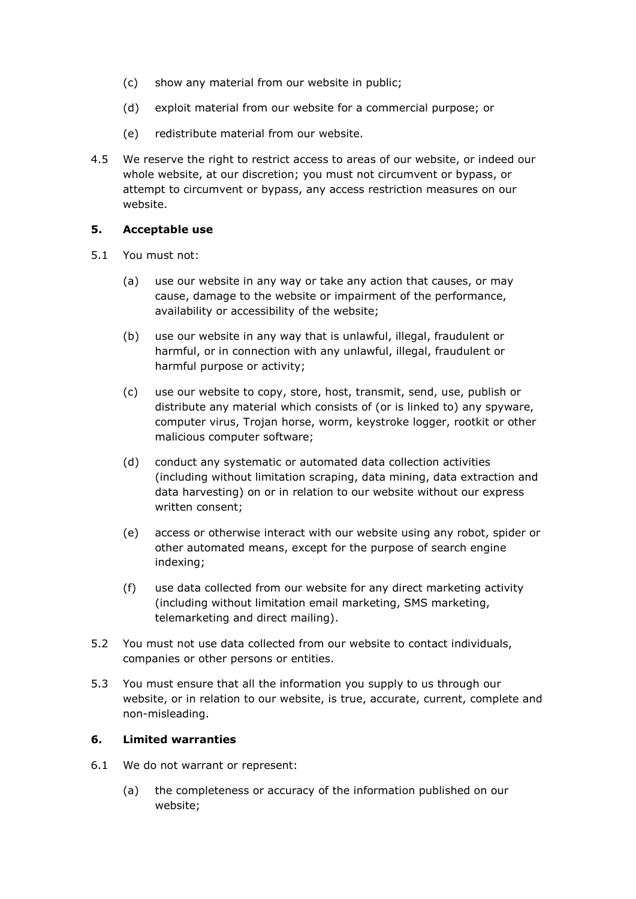- (c) show any material from our website in public;
- (d) exploit material from our website for a commercial purpose; or
- (e) redistribute material from our website.
- 4.5 We reserve the right to restrict access to areas of our website, or indeed our whole website, at our discretion; you must not circumvent or bypass, or attempt to circumvent or bypass, any access restriction measures on our website.

# **5. Acceptable use**

- 5.1 You must not:
	- (a) use our website in any way or take any action that causes, or may cause, damage to the website or impairment of the performance, availability or accessibility of the website;
	- (b) use our website in any way that is unlawful, illegal, fraudulent or harmful, or in connection with any unlawful, illegal, fraudulent or harmful purpose or activity;
	- (c) use our website to copy, store, host, transmit, send, use, publish or distribute any material which consists of (or is linked to) any spyware, computer virus, Trojan horse, worm, keystroke logger, rootkit or other malicious computer software;
	- (d) conduct any systematic or automated data collection activities (including without limitation scraping, data mining, data extraction and data harvesting) on or in relation to our website without our express written consent;
	- (e) access or otherwise interact with our website using any robot, spider or other automated means, except for the purpose of search engine indexing;
	- (f) use data collected from our website for any direct marketing activity (including without limitation email marketing, SMS marketing, telemarketing and direct mailing).
- 5.2 You must not use data collected from our website to contact individuals, companies or other persons or entities.
- 5.3 You must ensure that all the information you supply to us through our website, or in relation to our website, is true, accurate, current, complete and non-misleading.

#### **6. Limited warranties**

- 6.1 We do not warrant or represent:
	- (a) the completeness or accuracy of the information published on our website;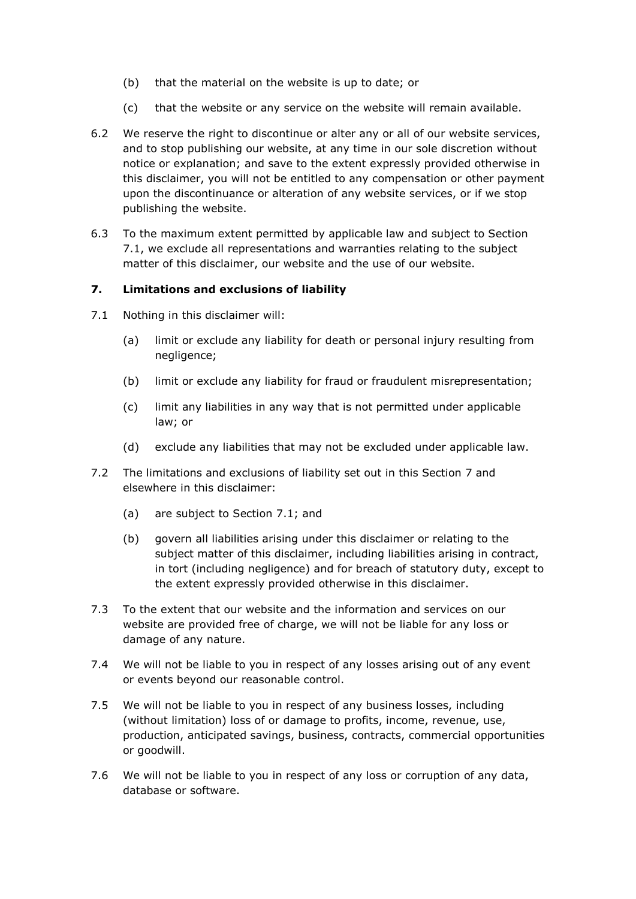- (b) that the material on the website is up to date; or
- (c) that the website or any service on the website will remain available.
- 6.2 We reserve the right to discontinue or alter any or all of our website services, and to stop publishing our website, at any time in our sole discretion without notice or explanation; and save to the extent expressly provided otherwise in this disclaimer, you will not be entitled to any compensation or other payment upon the discontinuance or alteration of any website services, or if we stop publishing the website.
- 6.3 To the maximum extent permitted by applicable law and subject to Section 7.1, we exclude all representations and warranties relating to the subject matter of this disclaimer, our website and the use of our website.

#### **7. Limitations and exclusions of liability**

- 7.1 Nothing in this disclaimer will:
	- (a) limit or exclude any liability for death or personal injury resulting from negligence;
	- (b) limit or exclude any liability for fraud or fraudulent misrepresentation;
	- (c) limit any liabilities in any way that is not permitted under applicable law; or
	- (d) exclude any liabilities that may not be excluded under applicable law.
- 7.2 The limitations and exclusions of liability set out in this Section 7 and elsewhere in this disclaimer:
	- (a) are subject to Section 7.1; and
	- (b) govern all liabilities arising under this disclaimer or relating to the subject matter of this disclaimer, including liabilities arising in contract, in tort (including negligence) and for breach of statutory duty, except to the extent expressly provided otherwise in this disclaimer.
- 7.3 To the extent that our website and the information and services on our website are provided free of charge, we will not be liable for any loss or damage of any nature.
- 7.4 We will not be liable to you in respect of any losses arising out of any event or events beyond our reasonable control.
- 7.5 We will not be liable to you in respect of any business losses, including (without limitation) loss of or damage to profits, income, revenue, use, production, anticipated savings, business, contracts, commercial opportunities or goodwill.
- 7.6 We will not be liable to you in respect of any loss or corruption of any data, database or software.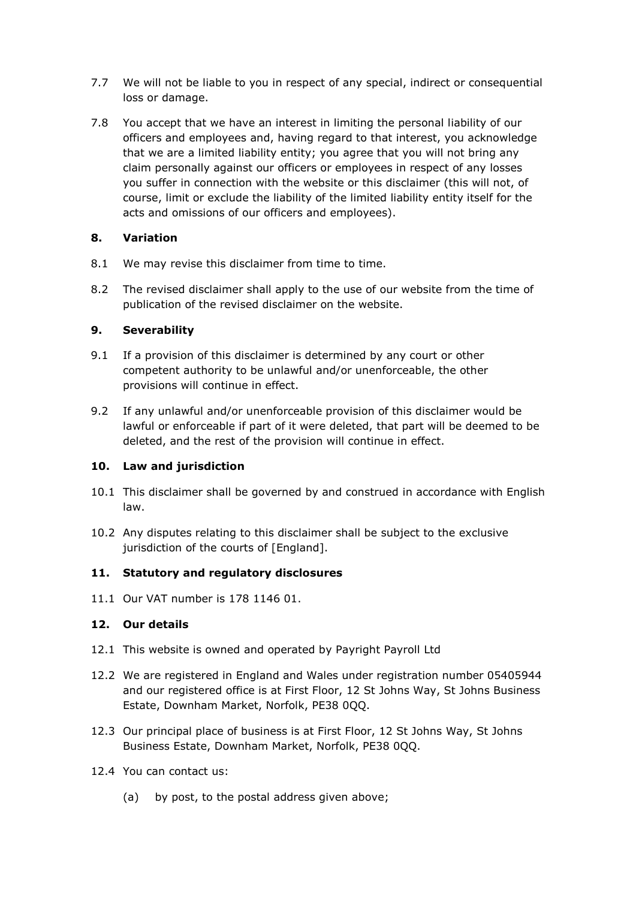- 7.7 We will not be liable to you in respect of any special, indirect or consequential loss or damage.
- 7.8 You accept that we have an interest in limiting the personal liability of our officers and employees and, having regard to that interest, you acknowledge that we are a limited liability entity; you agree that you will not bring any claim personally against our officers or employees in respect of any losses you suffer in connection with the website or this disclaimer (this will not, of course, limit or exclude the liability of the limited liability entity itself for the acts and omissions of our officers and employees).

# **8. Variation**

- 8.1 We may revise this disclaimer from time to time.
- 8.2 The revised disclaimer shall apply to the use of our website from the time of publication of the revised disclaimer on the website.

# **9. Severability**

- 9.1 If a provision of this disclaimer is determined by any court or other competent authority to be unlawful and/or unenforceable, the other provisions will continue in effect.
- 9.2 If any unlawful and/or unenforceable provision of this disclaimer would be lawful or enforceable if part of it were deleted, that part will be deemed to be deleted, and the rest of the provision will continue in effect.

# **10. Law and jurisdiction**

- 10.1 This disclaimer shall be governed by and construed in accordance with English law.
- 10.2 Any disputes relating to this disclaimer shall be subject to the exclusive jurisdiction of the courts of [England].

# **11. Statutory and regulatory disclosures**

11.1 Our VAT number is 178 1146 01.

# **12. Our details**

- 12.1 This website is owned and operated by Payright Payroll Ltd
- 12.2 We are registered in England and Wales under registration number 05405944 and our registered office is at First Floor, 12 St Johns Way, St Johns Business Estate, Downham Market, Norfolk, PE38 0QQ.
- 12.3 Our principal place of business is at First Floor, 12 St Johns Way, St Johns Business Estate, Downham Market, Norfolk, PE38 0QQ.
- 12.4 You can contact us:
	- (a) by post, to the postal address given above;